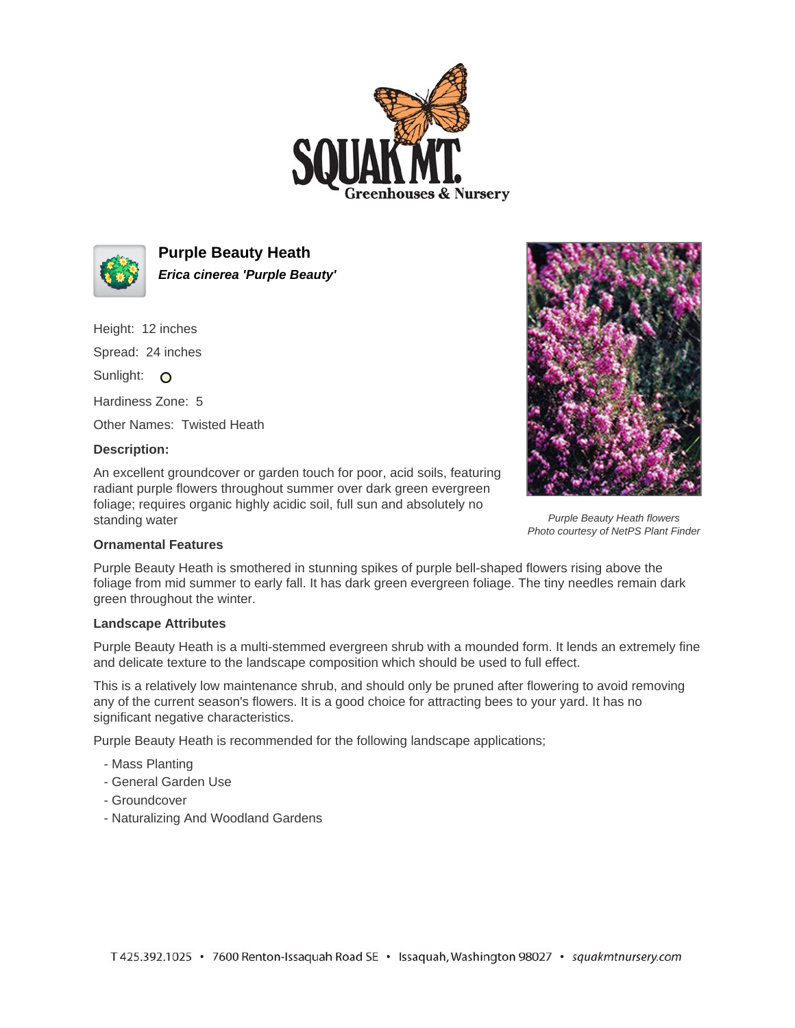



**Purple Beauty Heath Erica cinerea 'Purple Beauty'**

Height: 12 inches Spread: 24 inches Sunlight: O Hardiness Zone: 5

Other Names: Twisted Heath

## **Description:**

An excellent groundcover or garden touch for poor, acid soils, featuring radiant purple flowers throughout summer over dark green evergreen foliage; requires organic highly acidic soil, full sun and absolutely no standing water



Purple Beauty Heath flowers Photo courtesy of NetPS Plant Finder

## **Ornamental Features**

Purple Beauty Heath is smothered in stunning spikes of purple bell-shaped flowers rising above the foliage from mid summer to early fall. It has dark green evergreen foliage. The tiny needles remain dark green throughout the winter.

## **Landscape Attributes**

Purple Beauty Heath is a multi-stemmed evergreen shrub with a mounded form. It lends an extremely fine and delicate texture to the landscape composition which should be used to full effect.

This is a relatively low maintenance shrub, and should only be pruned after flowering to avoid removing any of the current season's flowers. It is a good choice for attracting bees to your yard. It has no significant negative characteristics.

Purple Beauty Heath is recommended for the following landscape applications;

- Mass Planting
- General Garden Use
- Groundcover
- Naturalizing And Woodland Gardens